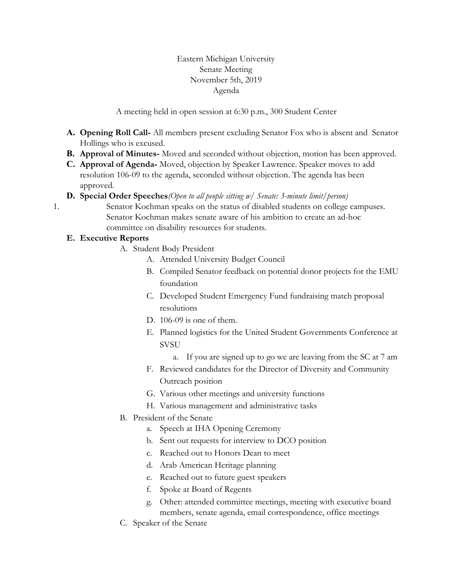## Eastern Michigan University Senate Meeting November 5th, 2019 Agenda

A meeting held in open session at 6:30 p.m., 300 Student Center

- **A. Opening Roll Call-** All members present excluding Senator Fox who is absent and Senator Hollings who is excused.
- **B. Approval of Minutes-** Moved and seconded without objection, motion has been approved.
- **C. Approval of Agenda-** Moved, objection by Speaker Lawrence. Speaker moves to add resolution 106-09 to the agenda, seconded without objection. The agenda has been approved.
- **D. Special Order Speeches***(Open to all people sitting w/ Senate: 3-minute limit/person)*
- 1. Senator Kochman speaks on the status of disabled students on college campuses. Senator Kochman makes senate aware of his ambition to create an ad-hoc committee on disability resources for students.

#### **E. Executive Reports**

- A. Student Body President
	- A. Attended University Budget Council
	- B. Compiled Senator feedback on potential donor projects for the EMU foundation
	- C. Developed Student Emergency Fund fundraising match proposal resolutions
	- D. 106-09 is one of them.
	- E. Planned logistics for the United Student Governments Conference at SVSU
		- a. If you are signed up to go we are leaving from the SC at 7 am
	- F. Reviewed candidates for the Director of Diversity and Community Outreach position
	- G. Various other meetings and university functions
	- H. Various management and administrative tasks
- B. President of the Senate
	- a. Speech at IHA Opening Ceremony
	- b. Sent out requests for interview to DCO position
	- c. Reached out to Honors Dean to meet
	- d. Arab American Heritage planning
	- e. Reached out to future guest speakers
	- f. Spoke at Board of Regents
	- g. Other: attended committee meetings, meeting with executive board members, senate agenda, email correspondence, office meetings
- C. Speaker of the Senate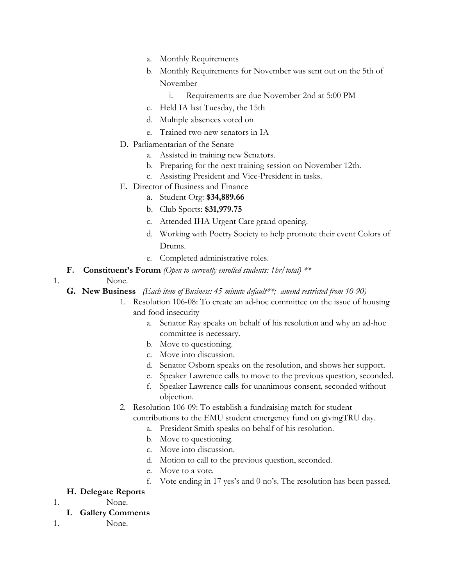- a. Monthly Requirements
- b. Monthly Requirements for November was sent out on the 5th of November
	- i. Requirements are due November 2nd at 5:00 PM
- c. Held IA last Tuesday, the 15th
- d. Multiple absences voted on
- e. Trained two new senators in IA
- D. Parliamentarian of the Senate
	- a. Assisted in training new Senators.
	- b. Preparing for the next training session on November 12th.
	- c. Assisting President and Vice-President in tasks.
- E. Director of Business and Finance
	- a. Student Org: **\$34,889.66**
	- b. Club Sports: **\$31,979.75**
	- c. Attended IHA Urgent Care grand opening.
	- d. Working with Poetry Society to help promote their event Colors of Drums.
	- e. Completed administrative roles.
- **F. Constituent's Forum** *(Open to currently enrolled students: 1hr/total) \*\**

## 1. None.

- **G. New Business** *(Each item of Business: 45 minute default\*\*; amend restricted from 10-90)*
	- 1. Resolution 106-08: To create an ad-hoc committee on the issue of housing and food insecurity
		- a. Senator Ray speaks on behalf of his resolution and why an ad-hoc committee is necessary.
		- b. Move to questioning.
		- c. Move into discussion.
		- d. Senator Osborn speaks on the resolution, and shows her support.
		- e. Speaker Lawrence calls to move to the previous question, seconded.
		- f. Speaker Lawrence calls for unanimous consent, seconded without objection.
		- 2. Resolution 106-09: To establish a fundraising match for student contributions to the EMU student emergency fund on givingTRU day.
			- a. President Smith speaks on behalf of his resolution.
			- b. Move to questioning.
			- c. Move into discussion.
			- d. Motion to call to the previous question, seconded.
			- e. Move to a vote.
			- f. Vote ending in 17 yes's and 0 no's. The resolution has been passed.

## **H. Delegate Reports**

1. None.

## **I. Gallery Comments**

1. None.